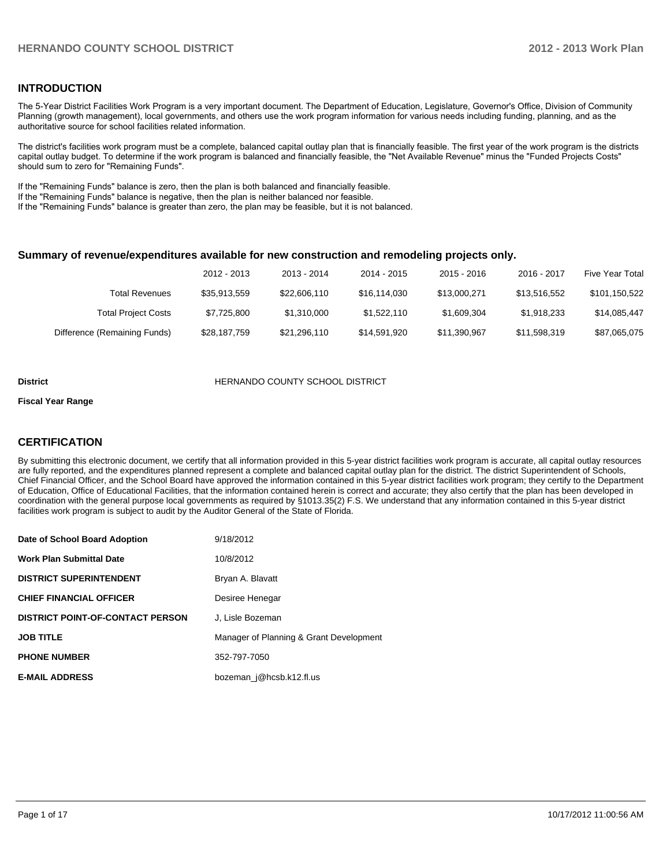### **INTRODUCTION**

The 5-Year District Facilities Work Program is a very important document. The Department of Education, Legislature, Governor's Office, Division of Community Planning (growth management), local governments, and others use the work program information for various needs including funding, planning, and as the authoritative source for school facilities related information.

The district's facilities work program must be a complete, balanced capital outlay plan that is financially feasible. The first year of the work program is the districts capital outlay budget. To determine if the work program is balanced and financially feasible, the "Net Available Revenue" minus the "Funded Projects Costs" should sum to zero for "Remaining Funds".

If the "Remaining Funds" balance is zero, then the plan is both balanced and financially feasible.

If the "Remaining Funds" balance is negative, then the plan is neither balanced nor feasible.

If the "Remaining Funds" balance is greater than zero, the plan may be feasible, but it is not balanced.

#### **Summary of revenue/expenditures available for new construction and remodeling projects only.**

| Five Year Total | 2016 - 2017  | 2015 - 2016  | 2014 - 2015  | 2013 - 2014  | 2012 - 2013  |                              |
|-----------------|--------------|--------------|--------------|--------------|--------------|------------------------------|
| \$101,150,522   | \$13.516.552 | \$13,000.271 | \$16.114.030 | \$22,606,110 | \$35,913,559 | <b>Total Revenues</b>        |
| \$14.085.447    | \$1.918.233  | \$1,609,304  | \$1.522.110  | \$1.310.000  | \$7,725,800  | <b>Total Project Costs</b>   |
| \$87,065,075    | \$11.598.319 | \$11,390,967 | \$14.591.920 | \$21,296,110 | \$28,187,759 | Difference (Remaining Funds) |

#### **District COUNTY SCHOOL DISTRICT**

#### **Fiscal Year Range**

## **CERTIFICATION**

By submitting this electronic document, we certify that all information provided in this 5-year district facilities work program is accurate, all capital outlay resources are fully reported, and the expenditures planned represent a complete and balanced capital outlay plan for the district. The district Superintendent of Schools, Chief Financial Officer, and the School Board have approved the information contained in this 5-year district facilities work program; they certify to the Department of Education, Office of Educational Facilities, that the information contained herein is correct and accurate; they also certify that the plan has been developed in coordination with the general purpose local governments as required by §1013.35(2) F.S. We understand that any information contained in this 5-year district facilities work program is subject to audit by the Auditor General of the State of Florida.

| Date of School Board Adoption           | 9/18/2012                               |
|-----------------------------------------|-----------------------------------------|
| <b>Work Plan Submittal Date</b>         | 10/8/2012                               |
| <b>DISTRICT SUPERINTENDENT</b>          | Bryan A. Blavatt                        |
| <b>CHIEF FINANCIAL OFFICER</b>          | Desiree Henegar                         |
| <b>DISTRICT POINT-OF-CONTACT PERSON</b> | J. Lisle Bozeman                        |
| <b>JOB TITLE</b>                        | Manager of Planning & Grant Development |
| <b>PHONE NUMBER</b>                     | 352-797-7050                            |
| <b>E-MAIL ADDRESS</b>                   | bozeman_j@hcsb.k12.fl.us                |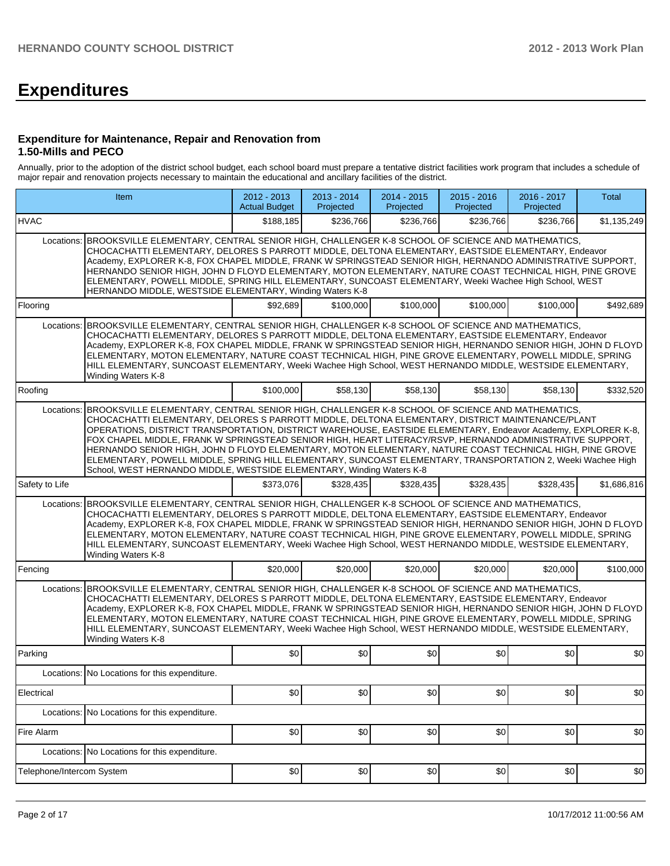# **Expenditures**

#### **Expenditure for Maintenance, Repair and Renovation from 1.50-Mills and PECO**

Annually, prior to the adoption of the district school budget, each school board must prepare a tentative district facilities work program that includes a schedule of major repair and renovation projects necessary to maintain the educational and ancillary facilities of the district.

|                           | Item                                                                                                                                                                                                                                                                                                                                                                                                                                                                                                                                                                                                                                                                                                                                 | $2012 - 2013$<br><b>Actual Budget</b> | 2013 - 2014<br>Projected | 2014 - 2015<br>Projected | $2015 - 2016$<br>Projected | 2016 - 2017<br>Projected | <b>Total</b> |
|---------------------------|--------------------------------------------------------------------------------------------------------------------------------------------------------------------------------------------------------------------------------------------------------------------------------------------------------------------------------------------------------------------------------------------------------------------------------------------------------------------------------------------------------------------------------------------------------------------------------------------------------------------------------------------------------------------------------------------------------------------------------------|---------------------------------------|--------------------------|--------------------------|----------------------------|--------------------------|--------------|
| <b>HVAC</b>               |                                                                                                                                                                                                                                                                                                                                                                                                                                                                                                                                                                                                                                                                                                                                      | \$188,185                             | \$236,766                | \$236,766                | \$236,766                  | \$236,766                | \$1,135,249  |
| Locations:                | BROOKSVILLE ELEMENTARY, CENTRAL SENIOR HIGH, CHALLENGER K-8 SCHOOL OF SCIENCE AND MATHEMATICS,<br>CHOCACHATTI ELEMENTARY, DELORES S PARROTT MIDDLE, DELTONA ELEMENTARY, EASTSIDE ELEMENTARY, Endeavor<br>Academy, EXPLORER K-8, FOX CHAPEL MIDDLE, FRANK W SPRINGSTEAD SENIOR HIGH, HERNANDO ADMINISTRATIVE SUPPORT,<br>HERNANDO SENIOR HIGH, JOHN D FLOYD ELEMENTARY, MOTON ELEMENTARY, NATURE COAST TECHNICAL HIGH, PINE GROVE<br>ELEMENTARY, POWELL MIDDLE, SPRING HILL ELEMENTARY, SUNCOAST ELEMENTARY, Weeki Wachee High School, WEST<br>HERNANDO MIDDLE, WESTSIDE ELEMENTARY, Winding Waters K-8                                                                                                                               |                                       |                          |                          |                            |                          |              |
| Flooring                  |                                                                                                                                                                                                                                                                                                                                                                                                                                                                                                                                                                                                                                                                                                                                      | \$92,689                              | \$100,000                | \$100,000                | \$100,000                  | \$100,000                | \$492,689    |
| Locations:                | BROOKSVILLE ELEMENTARY, CENTRAL SENIOR HIGH, CHALLENGER K-8 SCHOOL OF SCIENCE AND MATHEMATICS,<br>CHOCACHATTI ELEMENTARY, DELORES S PARROTT MIDDLE, DELTONA ELEMENTARY, EASTSIDE ELEMENTARY, Endeavor<br>Academy, EXPLORER K-8, FOX CHAPEL MIDDLE, FRANK W SPRINGSTEAD SENIOR HIGH, HERNANDO SENIOR HIGH, JOHN D FLOYD<br>ELEMENTARY, MOTON ELEMENTARY, NATURE COAST TECHNICAL HIGH, PINE GROVE ELEMENTARY, POWELL MIDDLE, SPRING<br>HILL ELEMENTARY, SUNCOAST ELEMENTARY, Weeki Wachee High School, WEST HERNANDO MIDDLE, WESTSIDE ELEMENTARY,<br>Winding Waters K-8                                                                                                                                                                |                                       |                          |                          |                            |                          |              |
| Roofing                   |                                                                                                                                                                                                                                                                                                                                                                                                                                                                                                                                                                                                                                                                                                                                      | \$100,000                             | \$58,130                 | \$58,130                 | \$58,130                   | \$58,130                 | \$332,520    |
| Locations:                | BROOKSVILLE ELEMENTARY, CENTRAL SENIOR HIGH, CHALLENGER K-8 SCHOOL OF SCIENCE AND MATHEMATICS,<br>CHOCACHATTI ELEMENTARY, DELORES S PARROTT MIDDLE, DELTONA ELEMENTARY, DISTRICT MAINTENANCE/PLANT<br>OPERATIONS, DISTRICT TRANSPORTATION, DISTRICT WAREHOUSE, EASTSIDE ELEMENTARY, Endeavor Academy, EXPLORER K-8,<br>FOX CHAPEL MIDDLE, FRANK W SPRINGSTEAD SENIOR HIGH, HEART LITERACY/RSVP, HERNANDO ADMINISTRATIVE SUPPORT,<br>HERNANDO SENIOR HIGH, JOHN D FLOYD ELEMENTARY, MOTON ELEMENTARY, NATURE COAST TECHNICAL HIGH, PINE GROVE<br>ELEMENTARY, POWELL MIDDLE, SPRING HILL ELEMENTARY, SUNCOAST ELEMENTARY, TRANSPORTATION 2, Weeki Wachee High<br>School, WEST HERNANDO MIDDLE, WESTSIDE ELEMENTARY, Winding Waters K-8 |                                       |                          |                          |                            |                          |              |
| Safety to Life            |                                                                                                                                                                                                                                                                                                                                                                                                                                                                                                                                                                                                                                                                                                                                      | \$373,076                             | \$328,435                | \$328,435                | \$328,435                  | \$328,435                | \$1,686,816  |
| Locations:                | BROOKSVILLE ELEMENTARY, CENTRAL SENIOR HIGH, CHALLENGER K-8 SCHOOL OF SCIENCE AND MATHEMATICS,<br>CHOCACHATTI ELEMENTARY, DELORES S PARROTT MIDDLE, DELTONA ELEMENTARY, EASTSIDE ELEMENTARY, Endeavor<br>Academy, EXPLORER K-8, FOX CHAPEL MIDDLE, FRANK W SPRINGSTEAD SENIOR HIGH, HERNANDO SENIOR HIGH, JOHN D FLOYD<br>ELEMENTARY, MOTON ELEMENTARY, NATURE COAST TECHNICAL HIGH, PINE GROVE ELEMENTARY, POWELL MIDDLE, SPRING<br>HILL ELEMENTARY, SUNCOAST ELEMENTARY, Weeki Wachee High School, WEST HERNANDO MIDDLE, WESTSIDE ELEMENTARY,<br>Winding Waters K-8                                                                                                                                                                |                                       |                          |                          |                            |                          |              |
| Fencing                   |                                                                                                                                                                                                                                                                                                                                                                                                                                                                                                                                                                                                                                                                                                                                      | \$20,000                              | \$20,000                 | \$20,000                 | \$20,000                   | \$20,000                 | \$100,000    |
| Locations:                | BROOKSVILLE ELEMENTARY, CENTRAL SENIOR HIGH, CHALLENGER K-8 SCHOOL OF SCIENCE AND MATHEMATICS,<br>CHOCACHATTI ELEMENTARY, DELORES S PARROTT MIDDLE, DELTONA ELEMENTARY, EASTSIDE ELEMENTARY, Endeavor<br>Academy, EXPLORER K-8, FOX CHAPEL MIDDLE, FRANK W SPRINGSTEAD SENIOR HIGH, HERNANDO SENIOR HIGH, JOHN D FLOYD<br>ELEMENTARY, MOTON ELEMENTARY, NATURE COAST TECHNICAL HIGH, PINE GROVE ELEMENTARY, POWELL MIDDLE, SPRING<br>HILL ELEMENTARY, SUNCOAST ELEMENTARY, Weeki Wachee High School, WEST HERNANDO MIDDLE, WESTSIDE ELEMENTARY,<br>Winding Waters K-8                                                                                                                                                                |                                       |                          |                          |                            |                          |              |
| Parking                   |                                                                                                                                                                                                                                                                                                                                                                                                                                                                                                                                                                                                                                                                                                                                      | \$0                                   | \$0                      | \$0                      | \$0                        | \$0                      | \$0          |
|                           | Locations: No Locations for this expenditure.                                                                                                                                                                                                                                                                                                                                                                                                                                                                                                                                                                                                                                                                                        |                                       |                          |                          |                            |                          |              |
| Electrical                |                                                                                                                                                                                                                                                                                                                                                                                                                                                                                                                                                                                                                                                                                                                                      | \$0                                   | \$0                      | \$0                      | \$0                        | \$0                      | \$0          |
|                           | Locations: No Locations for this expenditure.                                                                                                                                                                                                                                                                                                                                                                                                                                                                                                                                                                                                                                                                                        |                                       |                          |                          |                            |                          |              |
| Fire Alarm                |                                                                                                                                                                                                                                                                                                                                                                                                                                                                                                                                                                                                                                                                                                                                      | \$0                                   | \$0                      | \$0                      | \$0                        | \$0                      | \$0          |
|                           | Locations: No Locations for this expenditure.                                                                                                                                                                                                                                                                                                                                                                                                                                                                                                                                                                                                                                                                                        |                                       |                          |                          |                            |                          |              |
| Telephone/Intercom System |                                                                                                                                                                                                                                                                                                                                                                                                                                                                                                                                                                                                                                                                                                                                      | \$0                                   | \$0                      | \$0                      | \$0                        | \$0                      | \$0          |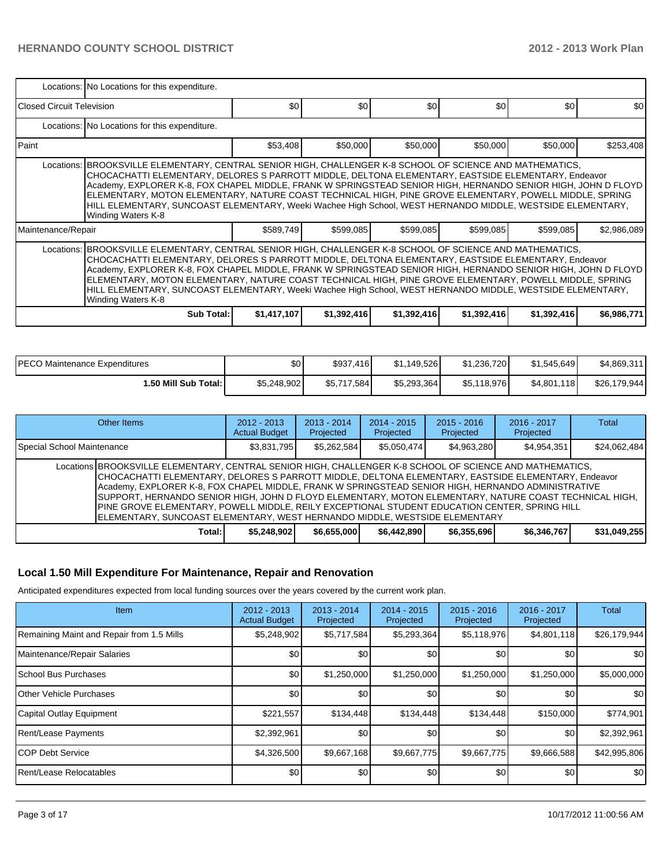|                                                                                                                                                                                                                                                                                                                                                                                                                                                                                                                                                                                  | Locations: No Locations for this expenditure.                                                                                                                                                                                                                                                                                                                                                                                                                                                                                                                                    |             |                  |             |             |             |             |  |  |  |  |
|----------------------------------------------------------------------------------------------------------------------------------------------------------------------------------------------------------------------------------------------------------------------------------------------------------------------------------------------------------------------------------------------------------------------------------------------------------------------------------------------------------------------------------------------------------------------------------|----------------------------------------------------------------------------------------------------------------------------------------------------------------------------------------------------------------------------------------------------------------------------------------------------------------------------------------------------------------------------------------------------------------------------------------------------------------------------------------------------------------------------------------------------------------------------------|-------------|------------------|-------------|-------------|-------------|-------------|--|--|--|--|
| <b>IClosed Circuit Television</b>                                                                                                                                                                                                                                                                                                                                                                                                                                                                                                                                                |                                                                                                                                                                                                                                                                                                                                                                                                                                                                                                                                                                                  | \$0         | \$0 <sub>0</sub> | \$0         | \$0         | \$0         | \$0         |  |  |  |  |
|                                                                                                                                                                                                                                                                                                                                                                                                                                                                                                                                                                                  | Locations: No Locations for this expenditure.                                                                                                                                                                                                                                                                                                                                                                                                                                                                                                                                    |             |                  |             |             |             |             |  |  |  |  |
| l Paint                                                                                                                                                                                                                                                                                                                                                                                                                                                                                                                                                                          |                                                                                                                                                                                                                                                                                                                                                                                                                                                                                                                                                                                  | \$53,408    | \$50,000         | \$50,000    | \$50,000    | \$50,000    | \$253,408   |  |  |  |  |
|                                                                                                                                                                                                                                                                                                                                                                                                                                                                                                                                                                                  | Locations: BROOKSVILLE ELEMENTARY, CENTRAL SENIOR HIGH, CHALLENGER K-8 SCHOOL OF SCIENCE AND MATHEMATICS,<br>CHOCACHATTI ELEMENTARY, DELORES S PARROTT MIDDLE, DELTONA ELEMENTARY, EASTSIDE ELEMENTARY, Endeavor<br>Academy, EXPLORER K-8, FOX CHAPEL MIDDLE, FRANK W SPRINGSTEAD SENIOR HIGH, HERNANDO SENIOR HIGH, JOHN D FLOYD<br>ELEMENTARY, MOTON ELEMENTARY, NATURE COAST TECHNICAL HIGH, PINE GROVE ELEMENTARY, POWELL MIDDLE, SPRING<br>HILL ELEMENTARY, SUNCOAST ELEMENTARY, Weeki Wachee High School, WEST HERNANDO MIDDLE, WESTSIDE ELEMENTARY,<br>Winding Waters K-8 |             |                  |             |             |             |             |  |  |  |  |
| Maintenance/Repair                                                                                                                                                                                                                                                                                                                                                                                                                                                                                                                                                               |                                                                                                                                                                                                                                                                                                                                                                                                                                                                                                                                                                                  | \$589,749   | \$599,085        | \$599,085   | \$599,085   | \$599,085   | \$2,986,089 |  |  |  |  |
| Locations: BROOKSVILLE ELEMENTARY, CENTRAL SENIOR HIGH, CHALLENGER K-8 SCHOOL OF SCIENCE AND MATHEMATICS,<br>CHOCACHATTI ELEMENTARY, DELORES S PARROTT MIDDLE, DELTONA ELEMENTARY, EASTSIDE ELEMENTARY, Endeavor<br>Academy, EXPLORER K-8, FOX CHAPEL MIDDLE, FRANK W SPRINGSTEAD SENIOR HIGH, HERNANDO SENIOR HIGH, JOHN D FLOYD<br>ELEMENTARY, MOTON ELEMENTARY, NATURE COAST TECHNICAL HIGH, PINE GROVE ELEMENTARY, POWELL MIDDLE, SPRING<br>HILL ELEMENTARY, SUNCOAST ELEMENTARY, Weeki Wachee High School, WEST HERNANDO MIDDLE, WESTSIDE ELEMENTARY,<br>Winding Waters K-8 |                                                                                                                                                                                                                                                                                                                                                                                                                                                                                                                                                                                  |             |                  |             |             |             |             |  |  |  |  |
|                                                                                                                                                                                                                                                                                                                                                                                                                                                                                                                                                                                  | <b>Sub Total:</b>                                                                                                                                                                                                                                                                                                                                                                                                                                                                                                                                                                | \$1,417,107 | \$1,392,416      | \$1,392,416 | \$1,392,416 | \$1,392,416 | \$6,986,771 |  |  |  |  |

| <b>PECO Maintenance Expenditures</b> | \$0         | \$937,416   | \$1.149.526 | \$1,236,720 | \$1.545.649       | \$4,869,311  |
|--------------------------------------|-------------|-------------|-------------|-------------|-------------------|--------------|
| <b>1.50 Mill Sub Total: I</b>        | \$5,248,902 | \$5,717,584 | \$5,293,364 | \$5,118,976 | \$4,801,<br>118 I | \$26,179,944 |

| Other Items                                                                                                                                                                                                                                                                                                                                                                                                                                                                                                                                                                                                     |             | $2012 - 2013$<br><b>Actual Budget</b> | $2013 - 2014$<br>Projected | $2014 - 2015$<br>Projected | $2015 - 2016$<br>Projected | $2016 - 2017$<br>Projected | Total        |
|-----------------------------------------------------------------------------------------------------------------------------------------------------------------------------------------------------------------------------------------------------------------------------------------------------------------------------------------------------------------------------------------------------------------------------------------------------------------------------------------------------------------------------------------------------------------------------------------------------------------|-------------|---------------------------------------|----------------------------|----------------------------|----------------------------|----------------------------|--------------|
| Special School Maintenance                                                                                                                                                                                                                                                                                                                                                                                                                                                                                                                                                                                      | \$3,831,795 | \$5,262,584                           | \$5.050.474                | \$4,963,280                | \$4,954,351                | \$24,062,484               |              |
| Locations BROOKSVILLE ELEMENTARY, CENTRAL SENIOR HIGH, CHALLENGER K-8 SCHOOL OF SCIENCE AND MATHEMATICS,<br>CHOCACHATTI ELEMENTARY, DELORES S PARROTT MIDDLE, DELTONA ELEMENTARY, EASTSIDE ELEMENTARY, Endeavor<br>Academy, EXPLORER K-8, FOX CHAPEL MIDDLE, FRANK W SPRINGSTEAD SENIOR HIGH, HERNANDO ADMINISTRATIVE<br>SUPPORT, HERNANDO SENIOR HIGH, JOHN D FLOYD ELEMENTARY, MOTON ELEMENTARY, NATURE COAST TECHNICAL HIGH,<br>PINE GROVE ELEMENTARY, POWELL MIDDLE, REILY EXCEPTIONAL STUDENT EDUCATION CENTER, SPRING HILL<br>[ELEMENTARY, SUNCOAST ELEMENTARY, WEST HERNANDO MIDDLE, WESTSIDE ELEMENTARY |             |                                       |                            |                            |                            |                            |              |
|                                                                                                                                                                                                                                                                                                                                                                                                                                                                                                                                                                                                                 | Total:      | \$5,248,902                           | \$6,655,000                | \$6,442,890                | \$6,355,696                | \$6,346,767                | \$31,049,255 |

## **Local 1.50 Mill Expenditure For Maintenance, Repair and Renovation**

Anticipated expenditures expected from local funding sources over the years covered by the current work plan.

| Item                                      | $2012 - 2013$<br><b>Actual Budget</b> | $2013 - 2014$<br>Projected | $2014 - 2015$<br>Projected | $2015 - 2016$<br>Projected | $2016 - 2017$<br>Projected | <b>Total</b> |
|-------------------------------------------|---------------------------------------|----------------------------|----------------------------|----------------------------|----------------------------|--------------|
| Remaining Maint and Repair from 1.5 Mills | \$5,248,902                           | \$5,717,584                | \$5,293,364                | \$5,118,976                | \$4,801,118                | \$26,179,944 |
| Maintenance/Repair Salaries               | \$0                                   | \$0                        | \$0                        | \$0                        | \$0                        | \$0          |
| <b>School Bus Purchases</b>               | \$0                                   | \$1,250,000                | \$1,250,000                | \$1,250,000                | \$1,250,000                | \$5,000,000  |
| <b>I</b> Other Vehicle Purchases          | \$0                                   | \$0                        | \$0                        | \$0                        | \$0                        | \$0          |
| Capital Outlay Equipment                  | \$221,557                             | \$134,448                  | \$134,448                  | \$134,448                  | \$150,000                  | \$774,901    |
| Rent/Lease Payments                       | \$2,392,961                           | \$0                        | \$0                        | \$0                        | \$0                        | \$2,392,961  |
| ICOP Debt Service                         | \$4,326,500                           | \$9,667,168                | \$9,667,775                | \$9,667,775                | \$9,666,588                | \$42,995,806 |
| Rent/Lease Relocatables                   | \$0                                   | \$0                        | \$0                        | \$0                        | \$0                        | \$0          |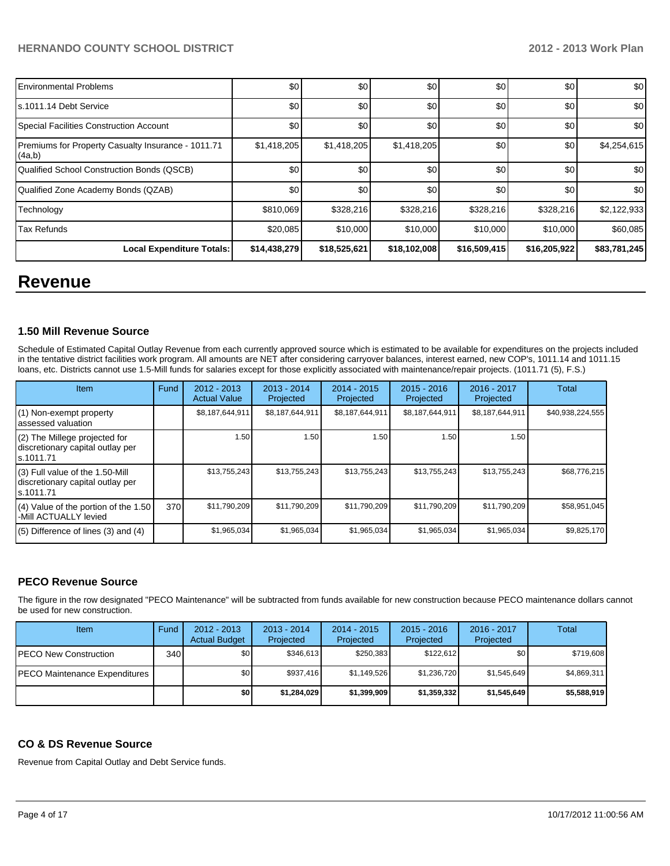| <b>Environmental Problems</b>                                | \$0          | \$0          | \$0          | \$0          | \$0          | \$0          |
|--------------------------------------------------------------|--------------|--------------|--------------|--------------|--------------|--------------|
| s.1011.14 Debt Service                                       | \$0          | \$0          | \$0          | \$0          | \$0          | \$0          |
| Special Facilities Construction Account                      | \$0          | \$0          | \$0          | \$0          | \$0          | \$0          |
| Premiums for Property Casualty Insurance - 1011.71<br>(4a,b) | \$1,418,205  | \$1,418,205  | \$1,418,205  | \$0          | \$0          | \$4,254,615  |
| Qualified School Construction Bonds (QSCB)                   | \$0          | \$0          | \$0          | \$0          | \$0          | \$0          |
| Qualified Zone Academy Bonds (QZAB)                          | \$0          | \$0          | \$0          | \$0          | \$0          | \$0          |
| Technology                                                   | \$810,069    | \$328,216    | \$328,216    | \$328,216    | \$328,216    | \$2,122,933  |
| <b>Tax Refunds</b>                                           | \$20,085     | \$10,000     | \$10,000     | \$10,000     | \$10,000     | \$60,085     |
| Local Expenditure Totals:                                    | \$14,438,279 | \$18,525,621 | \$18,102,008 | \$16,509,415 | \$16,205,922 | \$83,781,245 |

## **Revenue**

#### **1.50 Mill Revenue Source**

Schedule of Estimated Capital Outlay Revenue from each currently approved source which is estimated to be available for expenditures on the projects included in the tentative district facilities work program. All amounts are NET after considering carryover balances, interest earned, new COP's, 1011.14 and 1011.15 loans, etc. Districts cannot use 1.5-Mill funds for salaries except for those explicitly associated with maintenance/repair projects. (1011.71 (5), F.S.)

| Item                                                                              | Fund | $2012 - 2013$<br><b>Actual Value</b> | 2013 - 2014<br>Projected | $2014 - 2015$<br>Projected | $2015 - 2016$<br>Projected | $2016 - 2017$<br>Projected | Total            |
|-----------------------------------------------------------------------------------|------|--------------------------------------|--------------------------|----------------------------|----------------------------|----------------------------|------------------|
| (1) Non-exempt property<br>lassessed valuation                                    |      | \$8,187,644,911                      | \$8,187,644,911          | \$8,187,644,911            | \$8,187,644,911            | \$8,187,644,911            | \$40,938,224,555 |
| (2) The Millege projected for<br>discretionary capital outlay per<br>ls.1011.71   |      | 1.50                                 | 1.50                     | 1.50                       | 1.50                       | 1.50                       |                  |
| (3) Full value of the 1.50-Mill<br>discretionary capital outlay per<br>Is.1011.71 |      | \$13,755,243                         | \$13,755,243             | \$13,755,243               | \$13,755,243               | \$13,755,243               | \$68,776,215     |
| $(4)$ Value of the portion of the 1.50<br>-Mill ACTUALLY levied                   | 370  | \$11,790,209                         | \$11,790,209             | \$11,790,209               | \$11,790,209               | \$11,790,209               | \$58,951,045     |
| $(5)$ Difference of lines $(3)$ and $(4)$                                         |      | \$1,965,034                          | \$1,965,034              | \$1,965,034                | \$1,965,034                | \$1,965,034                | \$9,825,170      |

#### **PECO Revenue Source**

The figure in the row designated "PECO Maintenance" will be subtracted from funds available for new construction because PECO maintenance dollars cannot be used for new construction.

| Item                                 | Fund | $2012 - 2013$<br><b>Actual Budget</b> | $2013 - 2014$<br>Projected | 2014 - 2015<br>Projected | $2015 - 2016$<br>Projected | $2016 - 2017$<br>Projected | Total       |
|--------------------------------------|------|---------------------------------------|----------------------------|--------------------------|----------------------------|----------------------------|-------------|
| <b>IPECO New Construction</b>        | 340  | \$0                                   | \$346,613                  | \$250.383                | \$122.612                  | \$0                        | \$719,608   |
| <b>PECO Maintenance Expenditures</b> |      | \$0                                   | \$937,416                  | \$1,149,526              | \$1,236,720                | \$1,545,649                | \$4,869,311 |
|                                      |      | \$0                                   | \$1,284,029                | \$1,399,909              | \$1,359,332                | \$1,545,649                | \$5,588,919 |

## **CO & DS Revenue Source**

Revenue from Capital Outlay and Debt Service funds.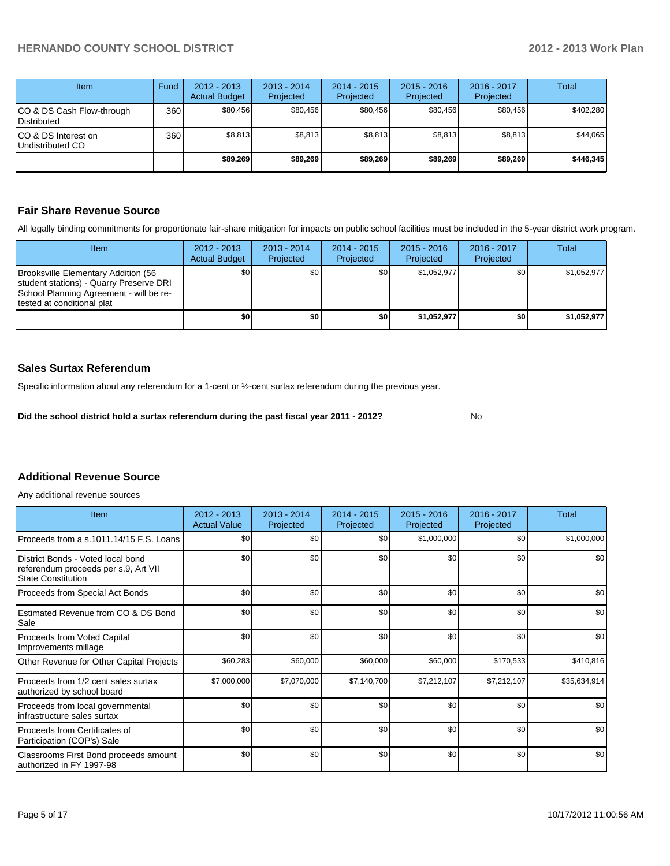No

| Item                                     | Fund | $2012 - 2013$<br><b>Actual Budget</b> | $2013 - 2014$<br>Projected | $2014 - 2015$<br>Projected | $2015 - 2016$<br>Projected | $2016 - 2017$<br>Projected | Total     |
|------------------------------------------|------|---------------------------------------|----------------------------|----------------------------|----------------------------|----------------------------|-----------|
| CO & DS Cash Flow-through<br>Distributed | 360  | \$80,456                              | \$80,456                   | \$80,456                   | \$80,456                   | \$80.456                   | \$402,280 |
| CO & DS Interest on<br>Undistributed CO  | 360  | \$8,813                               | \$8,813                    | \$8,813                    | \$8,813                    | \$8,813                    | \$44,065  |
|                                          |      | \$89,269                              | \$89,269                   | \$89,269                   | \$89,269                   | \$89,269                   | \$446,345 |

### **Fair Share Revenue Source**

All legally binding commitments for proportionate fair-share mitigation for impacts on public school facilities must be included in the 5-year district work program.

| Item                                                                                                                                                            | $2012 - 2013$<br><b>Actual Budget</b> | $2013 - 2014$<br>Projected | 2014 - 2015<br>Projected | $2015 - 2016$<br>Projected | $2016 - 2017$<br>Projected | Total       |
|-----------------------------------------------------------------------------------------------------------------------------------------------------------------|---------------------------------------|----------------------------|--------------------------|----------------------------|----------------------------|-------------|
| Brooksville Elementary Addition (56<br><b>Student stations) - Quarry Preserve DRI</b><br>School Planning Agreement - will be re-<br>Itested at conditional plat | \$0                                   | \$0 <sub>l</sub>           | \$0                      | \$1,052,977                | \$0 I                      | \$1,052,977 |
|                                                                                                                                                                 | \$0                                   | \$0                        | \$0                      | \$1,052,977                | \$0 I                      | \$1,052,977 |

## **Sales Surtax Referendum**

Specific information about any referendum for a 1-cent or ½-cent surtax referendum during the previous year.

**Did the school district hold a surtax referendum during the past fiscal year 2011 - 2012?**

#### **Additional Revenue Source**

Any additional revenue sources

| Item                                                                                            | $2012 - 2013$<br><b>Actual Value</b> | $2013 - 2014$<br>Projected | $2014 - 2015$<br>Projected | $2015 - 2016$<br>Projected | 2016 - 2017<br>Projected | Total        |
|-------------------------------------------------------------------------------------------------|--------------------------------------|----------------------------|----------------------------|----------------------------|--------------------------|--------------|
| Proceeds from a s.1011.14/15 F.S. Loans                                                         | \$0                                  | \$0                        | \$0                        | \$1,000,000                | \$0                      | \$1,000,000  |
| District Bonds - Voted local bond<br>referendum proceeds per s.9, Art VII<br>State Constitution | \$0                                  | \$0                        | \$0                        | \$0                        | \$0                      | \$0          |
| Proceeds from Special Act Bonds                                                                 | \$0                                  | \$0                        | \$0                        | \$0                        | \$0                      | \$0          |
| Estimated Revenue from CO & DS Bond<br>l Sale                                                   | \$0                                  | \$0                        | \$0                        | \$0                        | \$0                      | \$0          |
| Proceeds from Voted Capital<br>Improvements millage                                             | \$0                                  | \$0                        | \$0                        | \$0                        | \$0                      | \$0          |
| Other Revenue for Other Capital Projects                                                        | \$60,283                             | \$60,000                   | \$60,000                   | \$60,000                   | \$170,533                | \$410,816    |
| Proceeds from 1/2 cent sales surtax<br>authorized by school board                               | \$7,000,000                          | \$7,070,000                | \$7,140,700                | \$7,212,107                | \$7,212,107              | \$35,634,914 |
| Proceeds from local governmental<br>Infrastructure sales surtax                                 | \$0                                  | \$0                        | \$0                        | \$0                        | \$0                      | \$0          |
| l Proceeds from Certificates of<br>Participation (COP's) Sale                                   | \$0                                  | \$0                        | \$0                        | \$0                        | \$0                      | \$0          |
| Classrooms First Bond proceeds amount<br>lauthorized in FY 1997-98                              | \$0                                  | \$0                        | \$0                        | \$0                        | \$0                      | \$0          |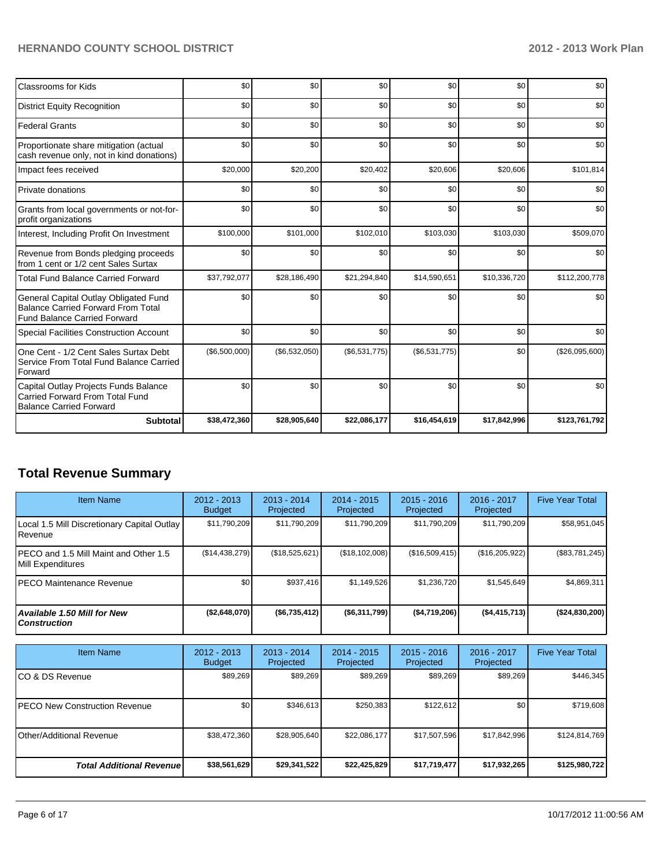| Classrooms for Kids                                                                                                       | \$0           | \$0           | \$0           | \$0           | \$0          | \$0            |
|---------------------------------------------------------------------------------------------------------------------------|---------------|---------------|---------------|---------------|--------------|----------------|
| <b>District Equity Recognition</b>                                                                                        | \$0           | \$0           | \$0           | \$0           | \$0          | \$0            |
| <b>Federal Grants</b>                                                                                                     | \$0           | \$0           | \$0           | \$0           | \$0          | \$0            |
| Proportionate share mitigation (actual<br>cash revenue only, not in kind donations)                                       | \$0           | \$0           | \$0           | \$0           | \$0          | \$0            |
| Impact fees received                                                                                                      | \$20,000      | \$20,200      | \$20,402      | \$20,606      | \$20,606     | \$101,814      |
| Private donations                                                                                                         | \$0           | \$0           | \$0           | \$0           | \$0          | \$0            |
| Grants from local governments or not-for-<br>profit organizations                                                         | \$0           | \$0           | \$0           | \$0           | \$0          | \$0            |
| Interest, Including Profit On Investment                                                                                  | \$100,000     | \$101,000     | \$102,010     | \$103,030     | \$103,030    | \$509,070      |
| Revenue from Bonds pledging proceeds<br>from 1 cent or 1/2 cent Sales Surtax                                              | \$0           | \$0           | \$0           | \$0           | \$0          | \$0            |
| <b>Total Fund Balance Carried Forward</b>                                                                                 | \$37,792,077  | \$28,186,490  | \$21,294,840  | \$14,590,651  | \$10,336,720 | \$112,200,778  |
| General Capital Outlay Obligated Fund<br><b>Balance Carried Forward From Total</b><br><b>Fund Balance Carried Forward</b> | \$0           | \$0           | \$0           | \$0           | \$0          | \$0            |
| Special Facilities Construction Account                                                                                   | \$0           | \$0           | \$0           | \$0           | \$0          | \$0            |
| One Cent - 1/2 Cent Sales Surtax Debt<br>Service From Total Fund Balance Carried<br>Forward                               | (\$6,500,000) | (\$6,532,050) | (\$6,531,775) | (\$6,531,775) | \$0          | (\$26,095,600) |
| Capital Outlay Projects Funds Balance<br>Carried Forward From Total Fund<br><b>Balance Carried Forward</b>                | \$0           | \$0           | \$0           | \$0           | \$0          | \$0            |
| <b>Subtotal</b>                                                                                                           | \$38,472,360  | \$28,905,640  | \$22,086,177  | \$16,454,619  | \$17,842,996 | \$123,761,792  |

## **Total Revenue Summary**

| <b>Item Name</b>                                                  | 2012 - 2013<br><b>Budget</b> | $2013 - 2014$<br>Projected | $2014 - 2015$<br>Projected | $2015 - 2016$<br>Projected | 2016 - 2017<br>Projected | <b>Five Year Total</b> |
|-------------------------------------------------------------------|------------------------------|----------------------------|----------------------------|----------------------------|--------------------------|------------------------|
| Local 1.5 Mill Discretionary Capital Outlay  <br><b>I</b> Revenue | \$11,790,209                 | \$11,790,209               | \$11,790,209               | \$11,790,209               | \$11,790,209             | \$58,951,045           |
| IPECO and 1.5 Mill Maint and Other 1.5<br>Mill Expenditures       | (S14, 438, 279)              | (\$18,525,621)             | (\$18,102,008)             | (\$16,509,415)             | (\$16,205,922)           | (\$83,781,245)         |
| IPECO Maintenance Revenue                                         | \$0                          | \$937.416                  | \$1,149,526                | \$1,236,720                | \$1,545,649              | \$4,869,311            |
| Available 1.50 Mill for New l<br>l Construction                   | (\$2,648,070)                | $($ \$6,735,412)           | ( \$6,311,799)             | (S4,719,206)               | (S4, 415, 713)           | (\$24,830,200)         |

| <b>Item Name</b>                      | $2012 - 2013$<br><b>Budget</b> | $2013 - 2014$<br>Projected | 2014 - 2015<br>Projected | $2015 - 2016$<br>Projected | 2016 - 2017<br>Projected | <b>Five Year Total</b> |
|---------------------------------------|--------------------------------|----------------------------|--------------------------|----------------------------|--------------------------|------------------------|
| ICO & DS Revenue                      | \$89,269                       | \$89,269                   | \$89,269                 | \$89,269                   | \$89,269                 | \$446,345              |
| <b>IPECO New Construction Revenue</b> | \$0 <sub>1</sub>               | \$346,613                  | \$250,383                | \$122,612                  | \$0                      | \$719,608              |
| <b>IOther/Additional Revenue</b>      | \$38,472,360                   | \$28,905,640               | \$22,086,177             | \$17,507,596               | \$17,842,996             | \$124,814,769          |
| <b>Total Additional Revenuel</b>      | \$38,561,629                   | \$29,341,522               | \$22,425,829             | \$17,719,477               | \$17,932,265             | \$125,980,722          |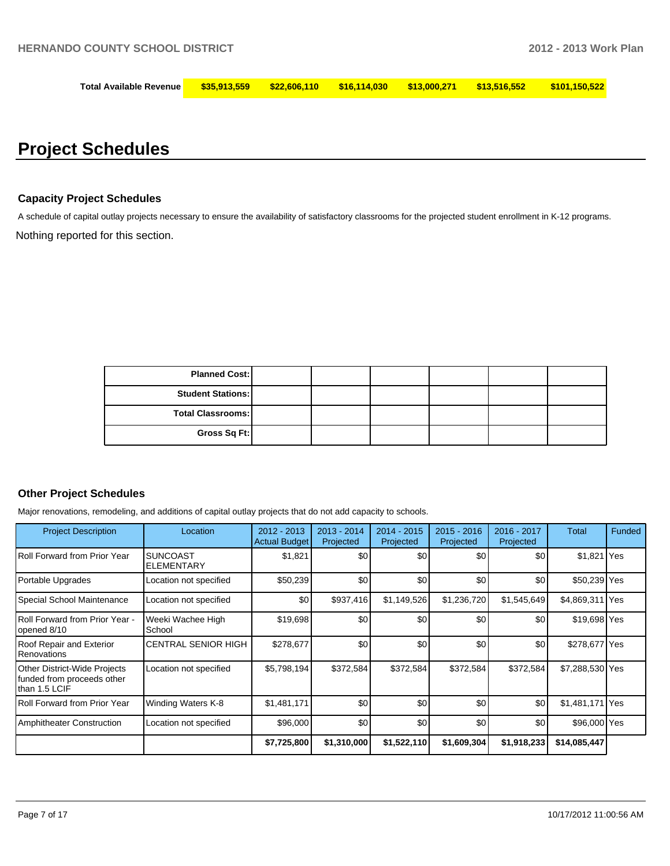| <b>Total Available Revenue</b> | \$35.913.559 | \$22,606,110 | <u>516.114.030 \$13.000.271</u> | \$13.516.552 | $\frac{$101.150.522}{5101.150.522}$ |
|--------------------------------|--------------|--------------|---------------------------------|--------------|-------------------------------------|
|                                |              |              |                                 |              |                                     |

# **Project Schedules**

## **Capacity Project Schedules**

A schedule of capital outlay projects necessary to ensure the availability of satisfactory classrooms for the projected student enrollment in K-12 programs.

Nothing reported for this section.

| <b>Planned Cost:</b>     |  |  |  |
|--------------------------|--|--|--|
| <b>Student Stations:</b> |  |  |  |
| <b>Total Classrooms:</b> |  |  |  |
| Gross Sq Ft:             |  |  |  |

#### **Other Project Schedules**

Major renovations, remodeling, and additions of capital outlay projects that do not add capacity to schools.

| <b>Project Description</b>                                                  | Location                             | $2012 - 2013$<br><b>Actual Budget</b> | $2013 - 2014$<br>Projected | $2014 - 2015$<br>Projected | $2015 - 2016$<br>Projected | 2016 - 2017<br>Projected | Total           | Funded |
|-----------------------------------------------------------------------------|--------------------------------------|---------------------------------------|----------------------------|----------------------------|----------------------------|--------------------------|-----------------|--------|
| Roll Forward from Prior Year                                                | <b>SUNCOAST</b><br><b>ELEMENTARY</b> | \$1,821                               | \$0                        | \$0                        | \$0                        | \$0                      | \$1,821 Yes     |        |
| Portable Upgrades                                                           | Location not specified               | \$50,239                              | \$0                        | \$0                        | \$0                        | \$0                      | \$50,239 Yes    |        |
| Special School Maintenance                                                  | Location not specified               | \$0                                   | \$937,416                  | \$1,149,526                | \$1,236,720                | \$1,545,649              | \$4,869,311 Yes |        |
| Roll Forward from Prior Year -<br>opened 8/10                               | Weeki Wachee High<br>School          | \$19,698                              | \$0                        | \$0                        | \$0                        | \$0                      | \$19,698 Yes    |        |
| Roof Repair and Exterior<br>Renovations                                     | <b>ICENTRAL SENIOR HIGH</b>          | \$278,677                             | \$0                        | \$0                        | \$0                        | \$0                      | \$278,677 Yes   |        |
| Other District-Wide Projects<br>funded from proceeds other<br>than 1.5 LCIF | Location not specified               | \$5,798,194]                          | \$372,584                  | \$372,584                  | \$372,584                  | \$372,584                | \$7,288,530 Yes |        |
| <b>Roll Forward from Prior Year</b>                                         | Winding Waters K-8                   | \$1,481,171                           | \$0                        | \$0                        | \$0                        | \$0                      | \$1,481,171 Yes |        |
| <b>Amphitheater Construction</b>                                            | Location not specified               | \$96,000                              | \$0                        | \$0                        | \$0                        | \$0                      | \$96,000 Yes    |        |
|                                                                             |                                      | \$7,725,800                           | \$1,310,000                | \$1,522,110                | \$1,609,304                | \$1,918,233              | \$14,085,447    |        |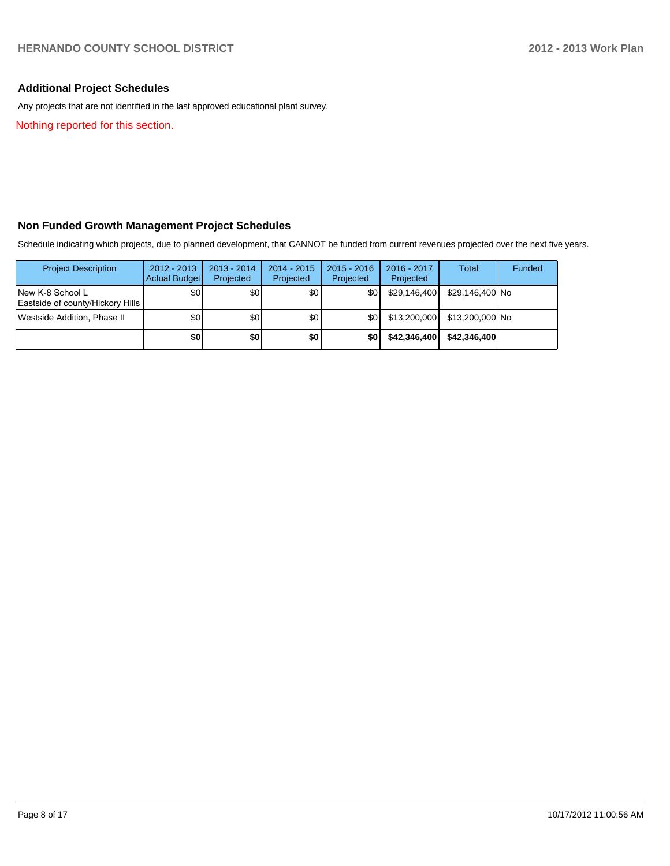## **Additional Project Schedules**

Any projects that are not identified in the last approved educational plant survey.

Nothing reported for this section.

## **Non Funded Growth Management Project Schedules**

Schedule indicating which projects, due to planned development, that CANNOT be funded from current revenues projected over the next five years.

| <b>Project Description</b>                            | $2012 - 2013$<br>Actual Budget | $2013 - 2014$<br>Projected | $2014 - 2015$<br>Projected | $2015 - 2016$<br>Projected | $2016 - 2017$<br>Projected | Total           | Funded |
|-------------------------------------------------------|--------------------------------|----------------------------|----------------------------|----------------------------|----------------------------|-----------------|--------|
| INew K-8 School L<br>Eastside of county/Hickory Hills | \$0                            | \$0                        | \$0                        | \$0                        | \$29,146,400               | \$29.146.400 No |        |
| Westside Addition, Phase II                           | \$0                            | \$0                        | \$0                        | \$0I                       | \$13,200,000               | \$13,200,000 No |        |
|                                                       | \$0                            | \$0                        | \$0                        | \$0                        | \$42,346,400               | \$42,346,400    |        |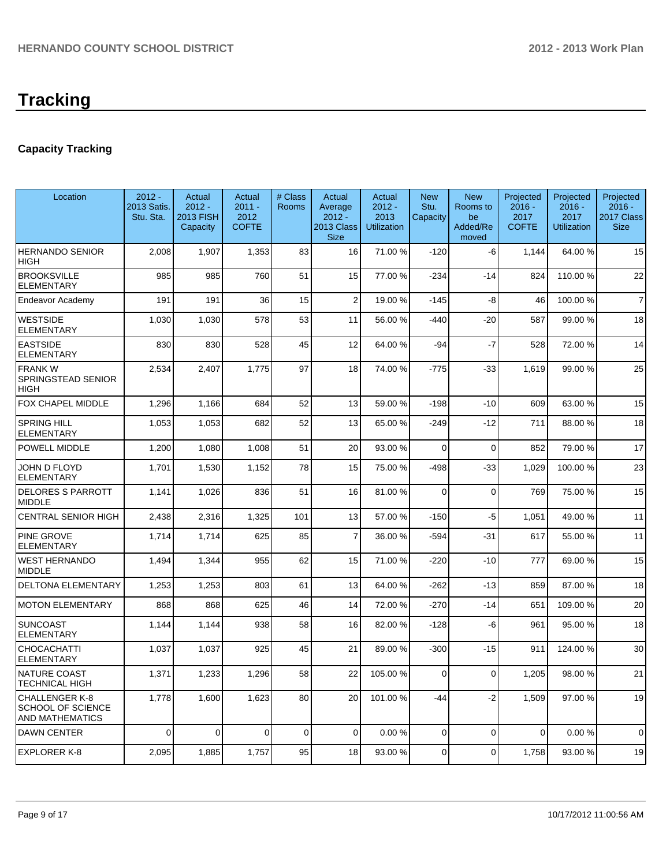# **Tracking**

## **Capacity Tracking**

| Location                                                             | $2012 -$<br>2013 Satis.<br>Stu. Sta. | Actual<br>$2012 -$<br>2013 FISH<br>Capacity | Actual<br>$2011 -$<br>2012<br><b>COFTE</b> | # Class<br>Rooms | Actual<br>Average<br>$2012 -$<br>2013 Class<br><b>Size</b> | Actual<br>$2012 -$<br>2013<br><b>Utilization</b> | <b>New</b><br>Stu.<br>Capacity | <b>New</b><br>Rooms to<br>be<br>Added/Re<br>moved | Projected<br>$2016 -$<br>2017<br><b>COFTE</b> | Projected<br>$2016 -$<br>2017<br><b>Utilization</b> | Projected<br>2016 -<br>2017 Class<br><b>Size</b> |
|----------------------------------------------------------------------|--------------------------------------|---------------------------------------------|--------------------------------------------|------------------|------------------------------------------------------------|--------------------------------------------------|--------------------------------|---------------------------------------------------|-----------------------------------------------|-----------------------------------------------------|--------------------------------------------------|
| <b>HERNANDO SENIOR</b><br>HIGH                                       | 2,008                                | 1,907                                       | 1,353                                      | 83               | 16                                                         | 71.00 %                                          | $-120$                         | -6                                                | 1,144                                         | 64.00%                                              | 15                                               |
| <b>BROOKSVILLE</b><br><b>ELEMENTARY</b>                              | 985                                  | 985                                         | 760                                        | 51               | 15                                                         | 77.00 %                                          | $-234$                         | $-14$                                             | 824                                           | 110.00%                                             | 22                                               |
| Endeavor Academy                                                     | 191                                  | 191                                         | 36                                         | 15               | $\overline{2}$                                             | 19.00 %                                          | -145                           | -8                                                | 46                                            | 100.00%                                             | $\overline{7}$                                   |
| <b>WESTSIDE</b><br><b>ELEMENTARY</b>                                 | 1,030                                | 1,030                                       | 578                                        | 53               | 11                                                         | 56.00 %                                          | $-440$                         | $-20$                                             | 587                                           | 99.00 %                                             | 18                                               |
| <b>EASTSIDE</b><br><b>ELEMENTARY</b>                                 | 830                                  | 830                                         | 528                                        | 45               | 12                                                         | 64.00 %                                          | -94                            | $-7$                                              | 528                                           | 72.00 %                                             | 14                                               |
| <b>FRANKW</b><br>SPRINGSTEAD SENIOR<br>HIGH                          | 2,534                                | 2,407                                       | 1,775                                      | 97               | 18                                                         | 74.00 %                                          | $-775$                         | $-33$                                             | 1,619                                         | 99.00 %                                             | 25                                               |
| FOX CHAPEL MIDDLE                                                    | 1,296                                | 1,166                                       | 684                                        | 52               | 13                                                         | 59.00 %                                          | $-198$                         | -10                                               | 609                                           | 63.00 %                                             | 15                                               |
| SPRING HILL<br>ELEMENTARY                                            | 1,053                                | 1,053                                       | 682                                        | 52               | 13                                                         | 65.00 %                                          | $-249$                         | $-12$                                             | 711                                           | 88.00 %                                             | 18                                               |
| POWELL MIDDLE                                                        | 1,200                                | 1,080                                       | 1,008                                      | 51               | 20                                                         | 93.00 %                                          | 0                              | $\mathbf 0$                                       | 852                                           | 79.00 %                                             | 17                                               |
| JOHN D FLOYD<br><b>ELEMENTARY</b>                                    | 1,701                                | 1,530                                       | 1,152                                      | 78               | 15                                                         | 75.00 %                                          | $-498$                         | $-33$                                             | 1,029                                         | 100.00%                                             | 23                                               |
| <b>DELORES S PARROTT</b><br><b>MIDDLE</b>                            | 1,141                                | 1,026                                       | 836                                        | 51               | 16                                                         | 81.00 %                                          | 0                              | $\mathbf 0$                                       | 769                                           | 75.00 %                                             | 15                                               |
| <b>CENTRAL SENIOR HIGH</b>                                           | 2,438                                | 2,316                                       | 1,325                                      | 101              | 13                                                         | 57.00 %                                          | $-150$                         | $-5$                                              | 1,051                                         | 49.00 %                                             | 11                                               |
| PINE GROVE<br><b>ELEMENTARY</b>                                      | 1,714                                | 1,714                                       | 625                                        | 85               | 7                                                          | 36.00 %                                          | $-594$                         | $-31$                                             | 617                                           | 55.00 %                                             | 11                                               |
| <b>WEST HERNANDO</b><br><b>MIDDLE</b>                                | 1,494                                | 1,344                                       | 955                                        | 62               | 15                                                         | 71.00 %                                          | $-220$                         | $-10$                                             | 777                                           | 69.00 %                                             | 15                                               |
| DELTONA ELEMENTARY                                                   | 1,253                                | 1,253                                       | 803                                        | 61               | 13                                                         | 64.00 %                                          | $-262$                         | $-13$                                             | 859                                           | 87.00 %                                             | 18                                               |
| <b>MOTON ELEMENTARY</b>                                              | 868                                  | 868                                         | 625                                        | 46               | 14                                                         | 72.00 %                                          | $-270$                         | $-14$                                             | 651                                           | 109.00%                                             | 20                                               |
| <b>SUNCOAST</b><br><b>ELEMENTARY</b>                                 | 1,144                                | 1,144                                       | 938                                        | 58               | 16                                                         | 82.00 %                                          | $-128$                         | -6                                                | 961                                           | 95.00 %                                             | 18                                               |
| CHOCACHATTI<br><b>ELEMENTARY</b>                                     | 1,037                                | 1,037                                       | 925                                        | 45               | 21                                                         | 89.00 %                                          | $-300$                         | $-15$                                             | 911                                           | 124.00%                                             | 30                                               |
| <b>NATURE COAST</b><br><b>TECHNICAL HIGH</b>                         | 1,371                                | 1,233                                       | 1,296                                      | 58               | 22                                                         | 105.00 %                                         | $\Omega$                       | $\Omega$                                          | 1,205                                         | 98.00%                                              | 21                                               |
| <b>CHALLENGER K-8</b><br><b>SCHOOL OF SCIENCE</b><br>AND MATHEMATICS | 1,778                                | 1,600                                       | 1,623                                      | 80               | 20                                                         | 101.00%                                          | $-44$                          | $-2$                                              | 1,509                                         | 97.00 %                                             | 19                                               |
| <b>DAWN CENTER</b>                                                   | 0                                    | $\mathbf 0$                                 | $\overline{0}$                             | $\mathbf 0$      | $\Omega$                                                   | 0.00%                                            | 0                              | $\Omega$                                          | $\mathbf 0$                                   | 0.00%                                               | $\mathbf 0$                                      |
| <b>EXPLORER K-8</b>                                                  | 2,095                                | 1,885                                       | 1,757                                      | 95               | 18                                                         | 93.00 %                                          | 0                              | $\mathbf 0$                                       | 1,758                                         | 93.00 %                                             | 19                                               |
|                                                                      |                                      |                                             |                                            |                  |                                                            |                                                  |                                |                                                   |                                               |                                                     |                                                  |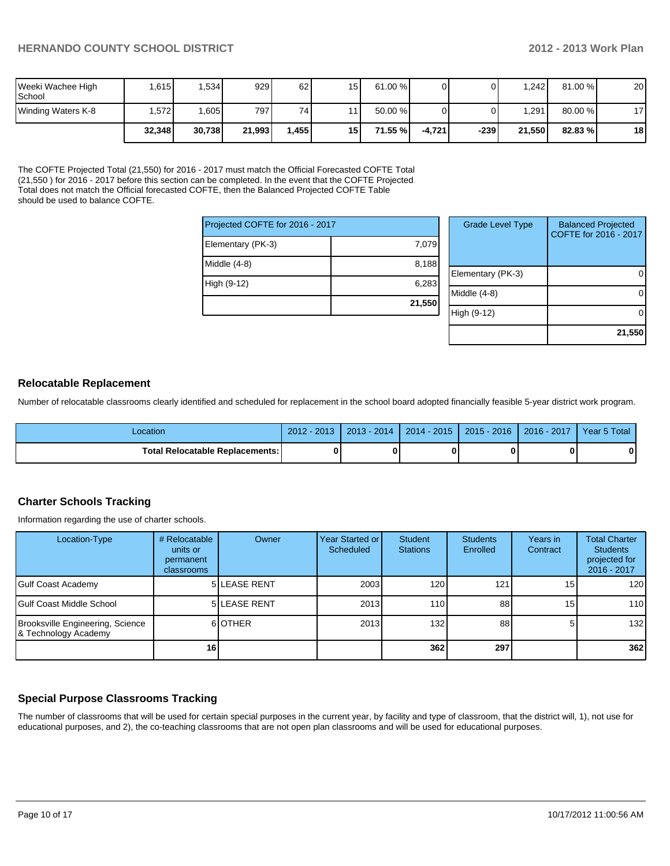| Weeki Wachee High<br><b>School</b> | .615   | ,534   | 929    | 62     | 15 <sub>h</sub> | 61.00 %  |          |        | 1.2421  | 81.00 % | 20              |
|------------------------------------|--------|--------|--------|--------|-----------------|----------|----------|--------|---------|---------|-----------------|
| Winding Waters K-8                 | .572   | .605   | 7971   | 74     | . .             | 50.00 %  |          |        | ا 291.ا | 80.00 % | 17 <sub>1</sub> |
|                                    | 32.348 | 30.738 | 21.993 | ا 455. | 15 <sup>1</sup> | 71.55 %l | -4.721 l | $-239$ | 21.550  | 82.83 % | 18              |

The COFTE Projected Total (21,550) for 2016 - 2017 must match the Official Forecasted COFTE Total (21,550 ) for 2016 - 2017 before this section can be completed. In the event that the COFTE Projected Total does not match the Official forecasted COFTE, then the Balanced Projected COFTE Table should be used to balance COFTE.

| Projected COFTE for 2016 - 2017 |        |  |  |  |  |
|---------------------------------|--------|--|--|--|--|
| Elementary (PK-3)               | 7,079  |  |  |  |  |
| Middle (4-8)                    | 8,188  |  |  |  |  |
| High (9-12)                     | 6,283  |  |  |  |  |
|                                 | 21,550 |  |  |  |  |

| <b>Grade Level Type</b> | <b>Balanced Projected</b><br>COFTE for 2016 - 2017 |
|-------------------------|----------------------------------------------------|
| Elementary (PK-3)       |                                                    |
| Middle (4-8)            |                                                    |
| High (9-12)             |                                                    |
|                         | 21,550                                             |

## **Relocatable Replacement**

Number of relocatable classrooms clearly identified and scheduled for replacement in the school board adopted financially feasible 5-year district work program.

| Location                               | $2012 - 2013$ | $2013 - 2014$ | 2014 - 2015 | 2015 - 2016 | $2016 - 2017$ | Year 5 Total |
|----------------------------------------|---------------|---------------|-------------|-------------|---------------|--------------|
| <b>Total Relocatable Replacements:</b> |               |               |             |             |               | 0            |

#### **Charter Schools Tracking**

Information regarding the use of charter schools.

| Location-Type                                            | # Relocatable<br>units or<br>permanent<br><b>classrooms</b> | Owner               | Year Started or I<br>Scheduled | Student<br><b>Stations</b> | <b>Students</b><br>Enrolled | Years in<br>Contract | <b>Total Charter</b><br><b>Students</b><br>projected for<br>2016 - 2017 |
|----------------------------------------------------------|-------------------------------------------------------------|---------------------|--------------------------------|----------------------------|-----------------------------|----------------------|-------------------------------------------------------------------------|
| Gulf Coast Academy                                       |                                                             | <b>5 LEASE RENT</b> | 2003                           | 120 <sub>l</sub>           | 121                         | 15 <sub>l</sub>      | 120                                                                     |
| l Gulf Coast Middle School                               |                                                             | <b>5 LEASE RENT</b> | 2013                           | 110 <sup>I</sup>           | 88                          | 15                   | 110                                                                     |
| Brooksville Engineering, Science<br>& Technology Academy |                                                             | 6 OTHER             | 2013                           | 132                        | 88                          | 5                    | 132                                                                     |
|                                                          | 16                                                          |                     |                                | 362                        | 297                         |                      | 362                                                                     |

## **Special Purpose Classrooms Tracking**

The number of classrooms that will be used for certain special purposes in the current year, by facility and type of classroom, that the district will, 1), not use for educational purposes, and 2), the co-teaching classrooms that are not open plan classrooms and will be used for educational purposes.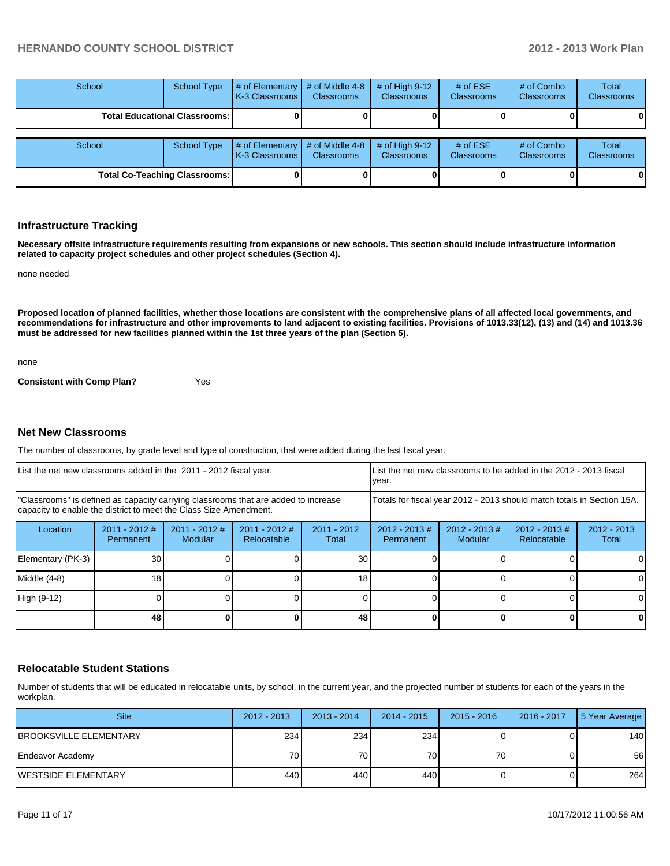| School                               | <b>School Type</b> | # of Elementary<br>LK-3 Classrooms L | # of Middle 4-8<br><b>Classrooms</b> | $#$ of High 9-12<br><b>Classrooms</b> | # of $ESE$<br><b>Classrooms</b> | # of Combo<br><b>Classrooms</b> | Total<br><b>Classrooms</b> |
|--------------------------------------|--------------------|--------------------------------------|--------------------------------------|---------------------------------------|---------------------------------|---------------------------------|----------------------------|
| <b>Total Educational Classrooms:</b> |                    |                                      |                                      |                                       |                                 |                                 |                            |
| School                               | <b>School Type</b> | # of Elementary                      | # of Middle 4-8                      | # of High $9-12$                      | # of $ESE$                      | # of Combo                      | Total                      |
|                                      |                    | LK-3 Classrooms L                    | <b>Classrooms</b>                    | <b>Classrooms</b>                     | <b>Classrooms</b>               | Classrooms                      | <b>Classrooms</b>          |
| <b>Total Co-Teaching Classrooms:</b> |                    |                                      |                                      |                                       |                                 |                                 |                            |

#### **Infrastructure Tracking**

**Necessary offsite infrastructure requirements resulting from expansions or new schools. This section should include infrastructure information related to capacity project schedules and other project schedules (Section 4).**

none needed

**Proposed location of planned facilities, whether those locations are consistent with the comprehensive plans of all affected local governments, and recommendations for infrastructure and other improvements to land adjacent to existing facilities. Provisions of 1013.33(12), (13) and (14) and 1013.36 must be addressed for new facilities planned within the 1st three years of the plan (Section 5).**

none

**Consistent with Comp Plan?** Yes

#### **Net New Classrooms**

The number of classrooms, by grade level and type of construction, that were added during the last fiscal year.

| List the net new classrooms added in the 2011 - 2012 fiscal year.                                                                                       |                              |                            |                                |                        | Ivear.                                                                 |                            | List the net new classrooms to be added in the 2012 - 2013 fiscal |                        |
|---------------------------------------------------------------------------------------------------------------------------------------------------------|------------------------------|----------------------------|--------------------------------|------------------------|------------------------------------------------------------------------|----------------------------|-------------------------------------------------------------------|------------------------|
| "Classrooms" is defined as capacity carrying classrooms that are added to increase<br>capacity to enable the district to meet the Class Size Amendment. |                              |                            |                                |                        | Totals for fiscal year 2012 - 2013 should match totals in Section 15A. |                            |                                                                   |                        |
| Location                                                                                                                                                | $2011 - 2012$ #<br>Permanent | $2011 - 2012$ #<br>Modular | $2011 - 2012$ #<br>Relocatable | $2011 - 2012$<br>Total | $2012 - 2013$ #<br>Permanent                                           | $2012 - 2013$ #<br>Modular | $2012 - 2013 \#$<br>Relocatable                                   | $2012 - 2013$<br>Total |
| Elementary (PK-3)                                                                                                                                       | 30                           |                            |                                | 30                     |                                                                        |                            |                                                                   | 0                      |
| Middle (4-8)                                                                                                                                            | 18 <sub>1</sub>              |                            |                                | 18 <sub>1</sub>        |                                                                        |                            |                                                                   | 0                      |
| High (9-12)                                                                                                                                             |                              |                            |                                |                        |                                                                        |                            |                                                                   | $\Omega$               |
|                                                                                                                                                         | 48                           |                            |                                | 48                     |                                                                        |                            |                                                                   | 0                      |

#### **Relocatable Student Stations**

Number of students that will be educated in relocatable units, by school, in the current year, and the projected number of students for each of the years in the workplan.

| <b>Site</b>                    | $2012 - 2013$ | $2013 - 2014$ | 2014 - 2015 | $2015 - 2016$ | 2016 - 2017 | 5 Year Average |
|--------------------------------|---------------|---------------|-------------|---------------|-------------|----------------|
| <b>IBROOKSVILLE ELEMENTARY</b> | 234           | 234           | 234         |               |             | 140            |
| Endeavor Academy               | 70 l          | 70 I          | 70 l        | 70 I          |             | 56             |
| IWESTSIDE ELEMENTARY           | 440           | 440 <b>I</b>  | 4401        |               |             | 264            |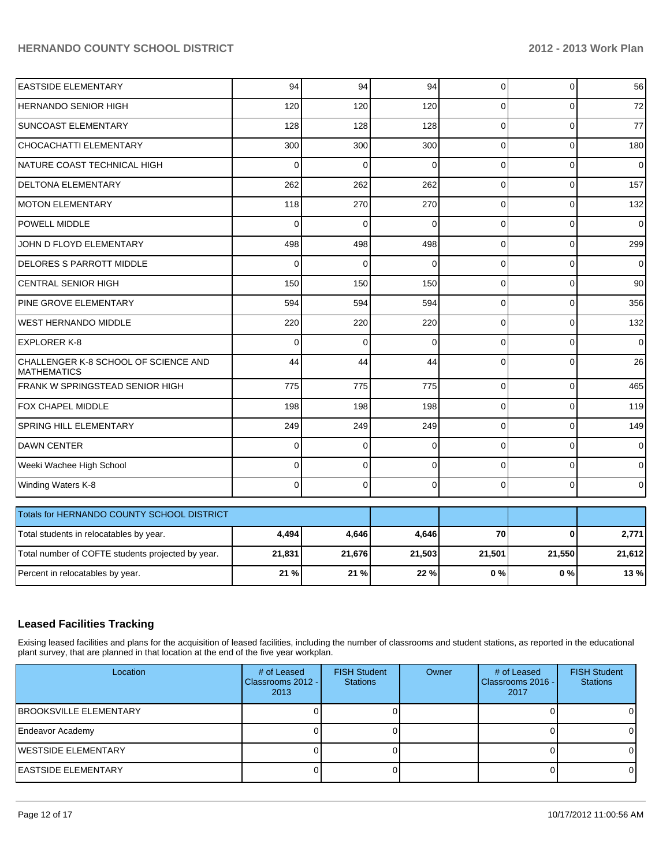| <b>EASTSIDE ELEMENTARY</b>                                 | 94       | 94          | 94             | $\Omega$       | $\Omega$       | 56             |
|------------------------------------------------------------|----------|-------------|----------------|----------------|----------------|----------------|
| <b>HERNANDO SENIOR HIGH</b>                                | 120      | 120         | 120            | $\Omega$       | $\Omega$       | 72             |
| <b>SUNCOAST ELEMENTARY</b>                                 | 128      | 128         | 128            | $\overline{0}$ | $\mathbf 0$    | 77             |
| CHOCACHATTI ELEMENTARY                                     | 300      | 300         | 300            | $\Omega$       | $\mathbf 0$    | 180            |
| NATURE COAST TECHNICAL HIGH                                | $\Omega$ | $\mathbf 0$ | $\Omega$       | 0              | $\mathbf 0$    | 0              |
| <b>DELTONA ELEMENTARY</b>                                  | 262      | 262         | 262            | $\Omega$       | $\Omega$       | 157            |
| <b>MOTON ELEMENTARY</b>                                    | 118      | 270         | 270            | $\Omega$       | $\Omega$       | 132            |
| <b>POWELL MIDDLE</b>                                       | 0        | $\Omega$    | $\Omega$       | $\Omega$       | $\Omega$       | $\overline{0}$ |
| JOHN D FLOYD ELEMENTARY                                    | 498      | 498         | 498            | $\Omega$       | $\Omega$       | 299            |
| <b>DELORES S PARROTT MIDDLE</b>                            | $\Omega$ | 0           | $\Omega$       | $\Omega$       | 0              | $\Omega$       |
| CENTRAL SENIOR HIGH                                        | 150      | 150         | 150            | $\Omega$       | $\Omega$       | 90             |
| PINE GROVE ELEMENTARY                                      | 594      | 594         | 594            | $\Omega$       | $\Omega$       | 356            |
| <b>WEST HERNANDO MIDDLE</b>                                | 220      | 220         | 220            | $\Omega$       | $\Omega$       | 132            |
| <b>EXPLORER K-8</b>                                        | $\Omega$ | $\Omega$    | $\mathbf 0$    | 0              | $\mathbf 0$    | $\Omega$       |
| CHALLENGER K-8 SCHOOL OF SCIENCE AND<br><b>MATHEMATICS</b> | 44       | 44          | 44             | $\Omega$       | $\Omega$       | 26             |
| FRANK W SPRINGSTEAD SENIOR HIGH                            | 775      | 775         | 775            | $\Omega$       | $\overline{0}$ | 465            |
| FOX CHAPEL MIDDLE                                          | 198      | 198         | 198            | $\Omega$       | $\mathbf 0$    | 119            |
| SPRING HILL ELEMENTARY                                     | 249      | 249         | 249            | $\Omega$       | $\Omega$       | 149            |
| <b>DAWN CENTER</b>                                         | $\Omega$ | $\mathbf 0$ | $\mathbf 0$    | $\Omega$       | $\Omega$       | $\mathbf 0$    |
| Weeki Wachee High School                                   | $\Omega$ | $\Omega$    | $\mathbf{0}$   | $\Omega$       | $\Omega$       | $\Omega$       |
| Winding Waters K-8                                         | $\Omega$ | $\mathbf 0$ | $\overline{0}$ | $\overline{0}$ | $\mathbf{0}$   | $\overline{0}$ |
| Totals for HERNANDO COUNTY SCHOOL DISTRICT                 |          |             |                |                |                |                |
| Total students in relocatables by year.                    | 4,494    | 4,646       | 4,646          | 70             | $\bf{0}$       | 2,771          |
| Total number of COFTE students projected by year.          | 21,831   | 21,676      | 21,503         | 21,501         | 21,550         | 21,612         |
| Percent in relocatables by year.                           | 21 %     | 21 %        | 22 %           | 0%             | 0%             | 13 %           |

## **Leased Facilities Tracking**

Exising leased facilities and plans for the acquisition of leased facilities, including the number of classrooms and student stations, as reported in the educational plant survey, that are planned in that location at the end of the five year workplan.

| Location                       | # of Leased<br>Classrooms 2012 - I<br>2013 | <b>FISH Student</b><br><b>Stations</b> | Owner | # of Leased<br>Classrooms 2016 - I<br>2017 | <b>FISH Student</b><br><b>Stations</b> |
|--------------------------------|--------------------------------------------|----------------------------------------|-------|--------------------------------------------|----------------------------------------|
| <b>IBROOKSVILLE ELEMENTARY</b> |                                            |                                        |       |                                            |                                        |
| Endeavor Academy               |                                            |                                        |       |                                            |                                        |
| WESTSIDE ELEMENTARY            |                                            |                                        |       |                                            |                                        |
| IEASTSIDE ELEMENTARY           |                                            |                                        |       |                                            |                                        |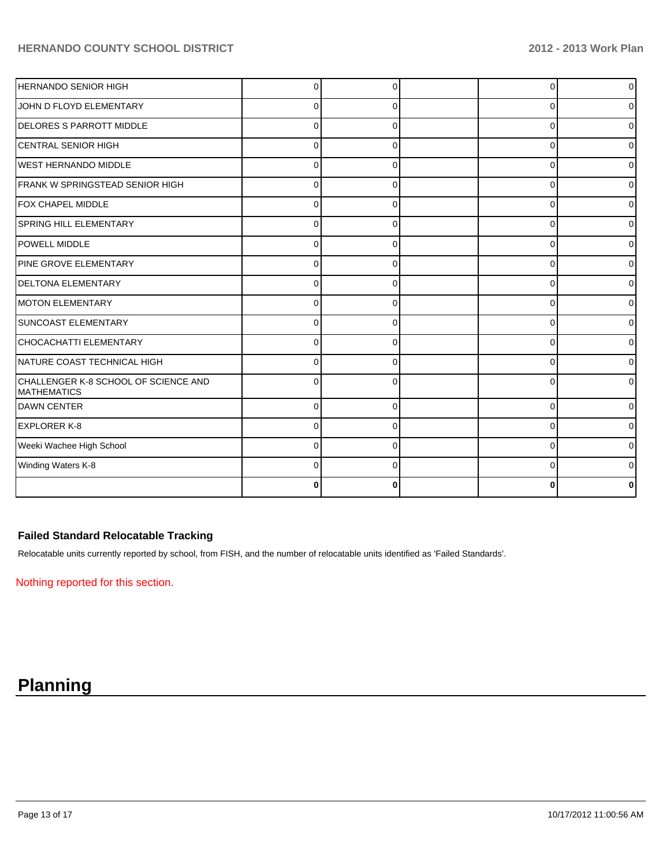| HERNANDO SENIOR HIGH                                       |          |   | 0        | $\overline{0}$ |
|------------------------------------------------------------|----------|---|----------|----------------|
| JOHN D FLOYD ELEMENTARY                                    | 0        | 0 | 0        | $\overline{0}$ |
| <b>DELORES S PARROTT MIDDLE</b>                            | 0        | 0 | $\Omega$ | 0              |
| ICENTRAL SENIOR HIGH                                       | 0        | 0 | 0        | 0              |
| <b>WEST HERNANDO MIDDLE</b>                                |          |   | 0        | $\overline{0}$ |
| FRANK W SPRINGSTEAD SENIOR HIGH                            | 0        | O | $\Omega$ | $\overline{0}$ |
| FOX CHAPEL MIDDLE                                          | $\Omega$ | 0 | $\Omega$ | $\overline{0}$ |
| SPRING HILL ELEMENTARY                                     | $\Omega$ | 0 | 0        | $\overline{0}$ |
| <b>POWELL MIDDLE</b>                                       | U        |   | $\Omega$ | $\overline{0}$ |
| PINE GROVE ELEMENTARY                                      |          |   | n        | 0              |
| <b>DELTONA ELEMENTARY</b>                                  | U        |   | 0        | 0              |
| <b>IMOTON ELEMENTARY</b>                                   |          |   | 0        | 01             |
| SUNCOAST ELEMENTARY                                        | ŋ        |   | 0        | $\overline{0}$ |
| CHOCACHATTI ELEMENTARY                                     |          |   | 0        | 0              |
| NATURE COAST TECHNICAL HIGH                                | U        |   | $\Omega$ | 0              |
| CHALLENGER K-8 SCHOOL OF SCIENCE AND<br><b>MATHEMATICS</b> | U        | n | 0        | 0              |
| DAWN CENTER                                                | $\Omega$ | ∩ | $\Omega$ | 0              |
| <b>IEXPLORER K-8</b>                                       | ∩        | O | 0        | 01             |
| Weeki Wachee High School                                   | U        | ∩ | 0        | $\overline{0}$ |
| Winding Waters K-8                                         |          |   | 0        | 0              |
|                                                            |          |   |          |                |

## **Failed Standard Relocatable Tracking**

Relocatable units currently reported by school, from FISH, and the number of relocatable units identified as 'Failed Standards'.

Nothing reported for this section.

# **Planning**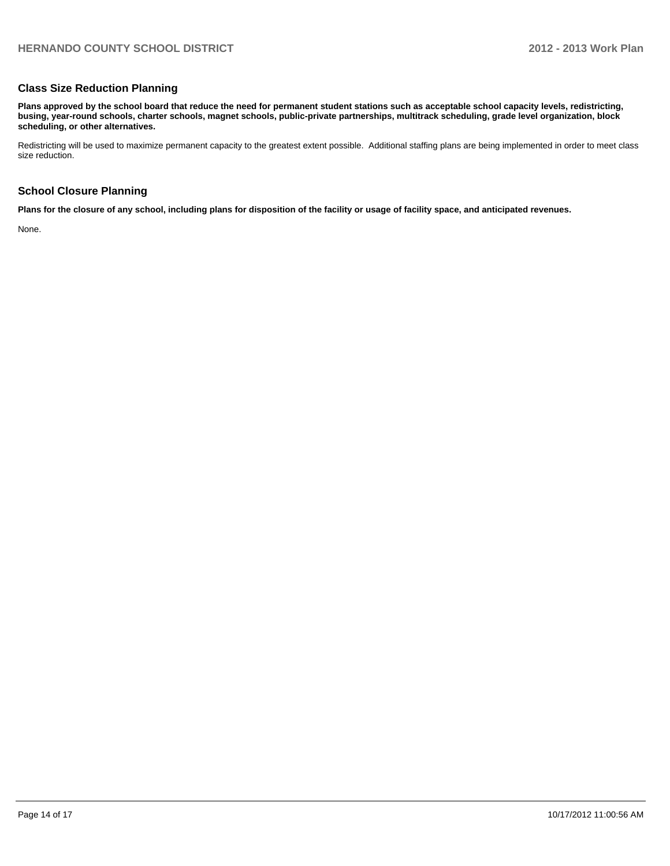### **Class Size Reduction Planning**

**Plans approved by the school board that reduce the need for permanent student stations such as acceptable school capacity levels, redistricting, busing, year-round schools, charter schools, magnet schools, public-private partnerships, multitrack scheduling, grade level organization, block scheduling, or other alternatives.**

Redistricting will be used to maximize permanent capacity to the greatest extent possible. Additional staffing plans are being implemented in order to meet class size reduction.

#### **School Closure Planning**

**Plans for the closure of any school, including plans for disposition of the facility or usage of facility space, and anticipated revenues.**

None.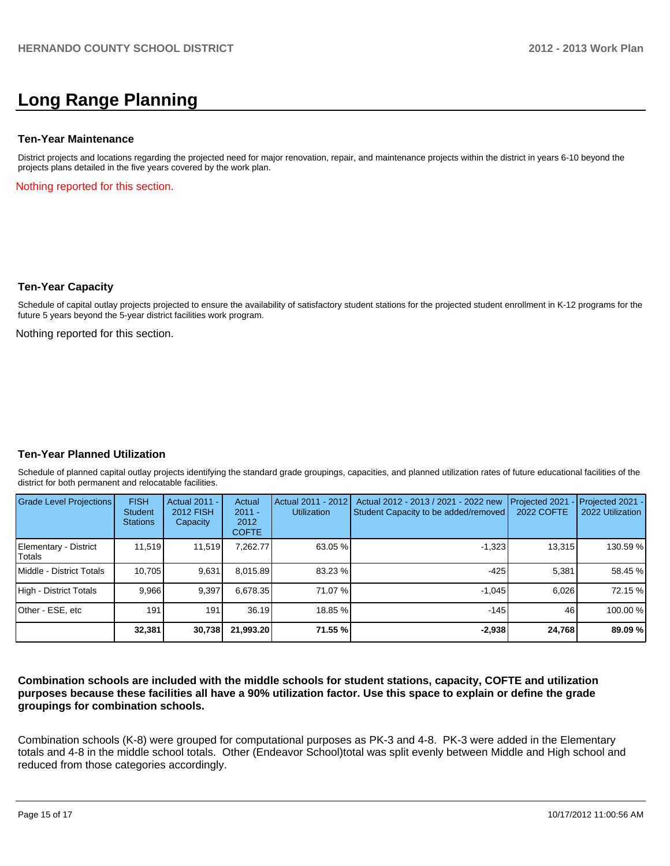## **Long Range Planning**

#### **Ten-Year Maintenance**

District projects and locations regarding the projected need for major renovation, repair, and maintenance projects within the district in years 6-10 beyond the projects plans detailed in the five years covered by the work plan.

Nothing reported for this section.

#### **Ten-Year Capacity**

Schedule of capital outlay projects projected to ensure the availability of satisfactory student stations for the projected student enrollment in K-12 programs for the future 5 years beyond the 5-year district facilities work program.

Nothing reported for this section.

#### **Ten-Year Planned Utilization**

Schedule of planned capital outlay projects identifying the standard grade groupings, capacities, and planned utilization rates of future educational facilities of the district for both permanent and relocatable facilities.

| <b>Grade Level Projections</b>  | <b>FISH</b><br>Student<br><b>Stations</b> | Actual 2011 -<br>2012 FISH<br>Capacity | Actual<br>$2011 -$<br>2012<br><b>COFTE</b> | Actual 2011 - 2012<br><b>Utilization</b> | Actual 2012 - 2013 / 2021 - 2022 new<br>Student Capacity to be added/removed | Projected 2021<br>2022 COFTE | Projected 2021 -<br>2022 Utilization |
|---------------------------------|-------------------------------------------|----------------------------------------|--------------------------------------------|------------------------------------------|------------------------------------------------------------------------------|------------------------------|--------------------------------------|
| Elementary - District<br>Totals | 11.519                                    | 11,519                                 | 7.262.77                                   | 63.05 %                                  | $-1,323$                                                                     | 13,315                       | 130.59 %                             |
| Middle - District Totals        | 10.705                                    | 9,631                                  | 8,015.89                                   | 83.23 %                                  | -425                                                                         | 5.381                        | 58.45 %                              |
| High - District Totals          | 9.966                                     | 9.397                                  | 6.678.35                                   | 71.07 %                                  | $-1.045$                                                                     | 6.026                        | 72.15 %                              |
| Other - ESE, etc                | 191 <sub>1</sub>                          | 191                                    | 36.19                                      | 18.85 %                                  | $-145$                                                                       | 46                           | 100.00 %                             |
|                                 | 32,381                                    | 30,738                                 | 21,993.20                                  | 71.55 %                                  | $-2,938$                                                                     | 24,768                       | 89.09 %                              |

#### **Combination schools are included with the middle schools for student stations, capacity, COFTE and utilization purposes because these facilities all have a 90% utilization factor. Use this space to explain or define the grade groupings for combination schools.**

Combination schools (K-8) were grouped for computational purposes as PK-3 and 4-8. PK-3 were added in the Elementary totals and 4-8 in the middle school totals. Other (Endeavor School)total was split evenly between Middle and High school and reduced from those categories accordingly.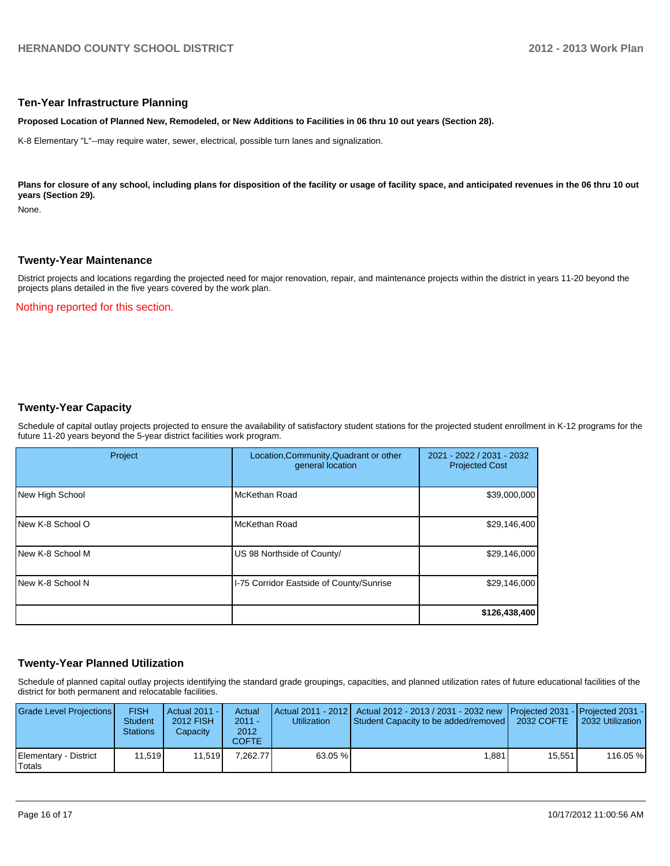#### **Ten-Year Infrastructure Planning**

**Proposed Location of Planned New, Remodeled, or New Additions to Facilities in 06 thru 10 out years (Section 28).**

K-8 Elementary "L"--may require water, sewer, electrical, possible turn lanes and signalization.

Plans for closure of any school, including plans for disposition of the facility or usage of facility space, and anticipated revenues in the 06 thru 10 out **years (Section 29).**

None.

#### **Twenty-Year Maintenance**

District projects and locations regarding the projected need for major renovation, repair, and maintenance projects within the district in years 11-20 beyond the projects plans detailed in the five years covered by the work plan.

Nothing reported for this section.

## **Twenty-Year Capacity**

Schedule of capital outlay projects projected to ensure the availability of satisfactory student stations for the projected student enrollment in K-12 programs for the future 11-20 years beyond the 5-year district facilities work program.

| Project                  | Location, Community, Quadrant or other<br>general location | 2021 - 2022 / 2031 - 2032<br><b>Projected Cost</b> |
|--------------------------|------------------------------------------------------------|----------------------------------------------------|
| New High School          | McKethan Road                                              | \$39,000,000                                       |
| New K-8 School O         | McKethan Road                                              | \$29,146,400                                       |
| INew K-8 School M        | US 98 Northside of County/                                 | \$29,146,000                                       |
| <b>INew K-8 School N</b> | I-75 Corridor Eastside of County/Sunrise                   | \$29,146,000                                       |
|                          |                                                            | \$126,438,400                                      |

## **Twenty-Year Planned Utilization**

Schedule of planned capital outlay projects identifying the standard grade groupings, capacities, and planned utilization rates of future educational facilities of the district for both permanent and relocatable facilities.

| <b>Grade Level Projections</b>  | <b>FISH</b><br><b>Student</b><br><b>Stations</b> | Actual 2011 -<br>2012 FISH<br>Capacity | Actual<br>$2011 -$<br>2012<br><b>COFTE</b> | Utilization | Actual 2011 - 2012   Actual 2012 - 2013 / 2031 - 2032 new Projected 2031 - Projected 2031 -<br>Student Capacity to be added/removed   2032 COFTE |         | 2032 Utilization |
|---------------------------------|--------------------------------------------------|----------------------------------------|--------------------------------------------|-------------|--------------------------------------------------------------------------------------------------------------------------------------------------|---------|------------------|
| Elementary - District<br>Totals | 11.519                                           | 11.519                                 | 7.262.77                                   | $63.05\%$   | ا 881. ا                                                                                                                                         | 15.5511 | 116.05 %         |